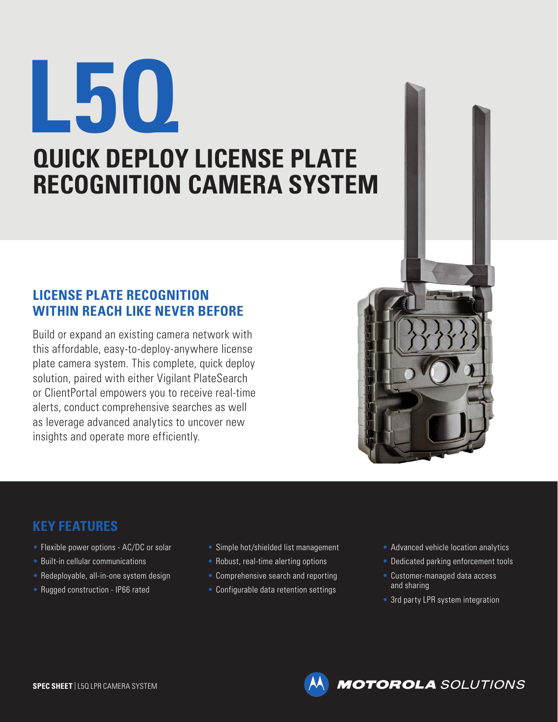## **L5Q QUICK DEPLOY LICENSE PLATE RECOGNITION CAMERA SYSTEM**

## **LICENSE PLATE RECOGNITION WITHIN REACH LIKE NEVER BEFORE**

Build or expand an existing camera network with this affordable, easy-to-deploy-anywhere license plate camera system. This complete, quick deploy solution, paired with either Vigilant PlateSearch or ClientPortal empowers you to receive real-time alerts, conduct comprehensive searches as well as leverage advanced analytics to uncover new insights and operate more efficiently.



## **KEY FEATURES**

- Flexible power options AC/DC or solar
- Built-in cellular communications
- Redeployable, all-in-one system design
- Rugged construction IP66 rated
- Simple hot/shielded list management
- Robust, real-time alerting options
- Comprehensive search and reporting
- Configurable data retention settings
- Advanced vehicle location analytics
- Dedicated parking enforcement tools
- Customer-managed data access and sharing
- 3rd party LPR system integration

**MOTOROLA** SOLUTIONS